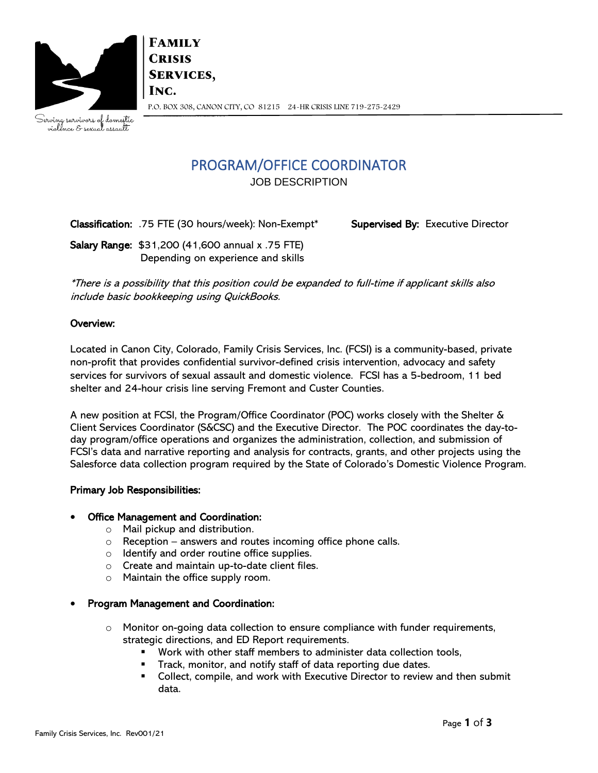

**FAMILY CRISIS SERVICES,** INC. P.O. BOX 308, CANON CITY, CO 81215 24-HR CRISIS LINE 719-275-2429

Serving survivors of domestic<br>violence & sexual assault

# PROGRAM/OFFICE COORDINATOR

JOB DESCRIPTION

Classification: .75 FTE (30 hours/week): Non-Exempt\* Supervised By: Executive Director

Salary Range: \$31,200 (41,600 annual x .75 FTE) Depending on experience and skills

\*There is a possibility that this position could be expanded to full-time if applicant skills also include basic bookkeeping using QuickBooks.

## Overview:

Located in Canon City, Colorado, Family Crisis Services, Inc. (FCSI) is a community-based, private non-profit that provides confidential survivor-defined crisis intervention, advocacy and safety services for survivors of sexual assault and domestic violence. FCSI has a 5-bedroom, 11 bed shelter and 24-hour crisis line serving Fremont and Custer Counties.

A new position at FCSI, the Program/Office Coordinator (POC) works closely with the Shelter & Client Services Coordinator (S&CSC) and the Executive Director. The POC coordinates the day-today program/office operations and organizes the administration, collection, and submission of FCSI's data and narrative reporting and analysis for contracts, grants, and other projects using the Salesforce data collection program required by the State of Colorado's Domestic Violence Program.

# Primary Job Responsibilities:

### • Office Management and Coordination:

- o Mail pickup and distribution.
- $\circ$  Reception answers and routes incoming office phone calls.
- o Identify and order routine office supplies.
- o Create and maintain up-to-date client files.
- o Maintain the office supply room.
- Program Management and Coordination:
	- $\circ$  Monitor on-going data collection to ensure compliance with funder requirements, strategic directions, and ED Report requirements.
		- Work with other staff members to administer data collection tools,
		- Track, monitor, and notify staff of data reporting due dates.
		- Collect, compile, and work with Executive Director to review and then submit data.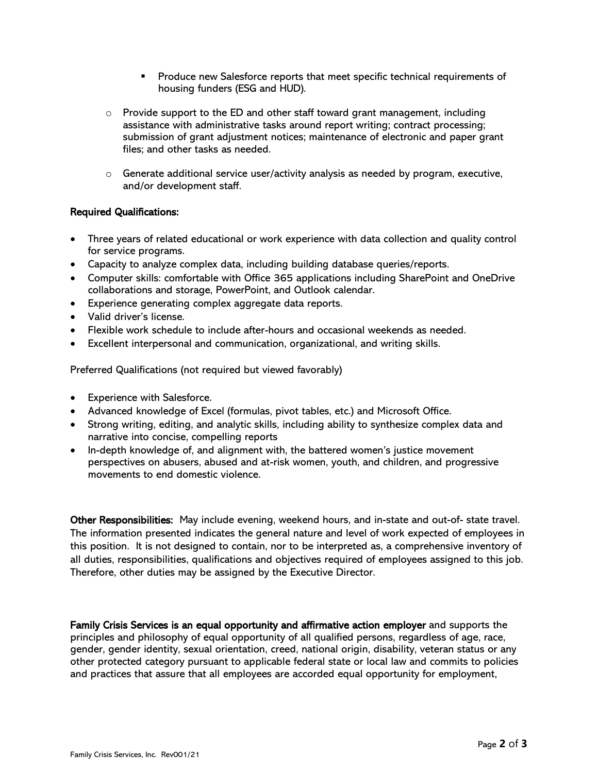- Produce new Salesforce reports that meet specific technical requirements of housing funders (ESG and HUD).
- $\circ$  Provide support to the ED and other staff toward grant management, including assistance with administrative tasks around report writing; contract processing; submission of grant adjustment notices; maintenance of electronic and paper grant files; and other tasks as needed.
- $\circ$  Generate additional service user/activity analysis as needed by program, executive, and/or development staff.

#### Required Qualifications:

- Three years of related educational or work experience with data collection and quality control for service programs.
- Capacity to analyze complex data, including building database queries/reports.
- Computer skills: comfortable with Office 365 applications including SharePoint and OneDrive collaborations and storage, PowerPoint, and Outlook calendar.
- Experience generating complex aggregate data reports.
- Valid driver's license.
- Flexible work schedule to include after-hours and occasional weekends as needed.
- Excellent interpersonal and communication, organizational, and writing skills.

Preferred Qualifications (not required but viewed favorably)

- Experience with Salesforce.
- Advanced knowledge of Excel (formulas, pivot tables, etc.) and Microsoft Office.
- Strong writing, editing, and analytic skills, including ability to synthesize complex data and narrative into concise, compelling reports
- In-depth knowledge of, and alignment with, the battered women's justice movement perspectives on abusers, abused and at-risk women, youth, and children, and progressive movements to end domestic violence.

Other Responsibilities: May include evening, weekend hours, and in-state and out-of- state travel. The information presented indicates the general nature and level of work expected of employees in this position. It is not designed to contain, nor to be interpreted as, a comprehensive inventory of all duties, responsibilities, qualifications and objectives required of employees assigned to this job. Therefore, other duties may be assigned by the Executive Director.

Family Crisis Services is an equal opportunity and affirmative action employer and supports the principles and philosophy of equal opportunity of all qualified persons, regardless of age, race, gender, gender identity, sexual orientation, creed, national origin, disability, veteran status or any other protected category pursuant to applicable federal state or local law and commits to policies and practices that assure that all employees are accorded equal opportunity for employment,